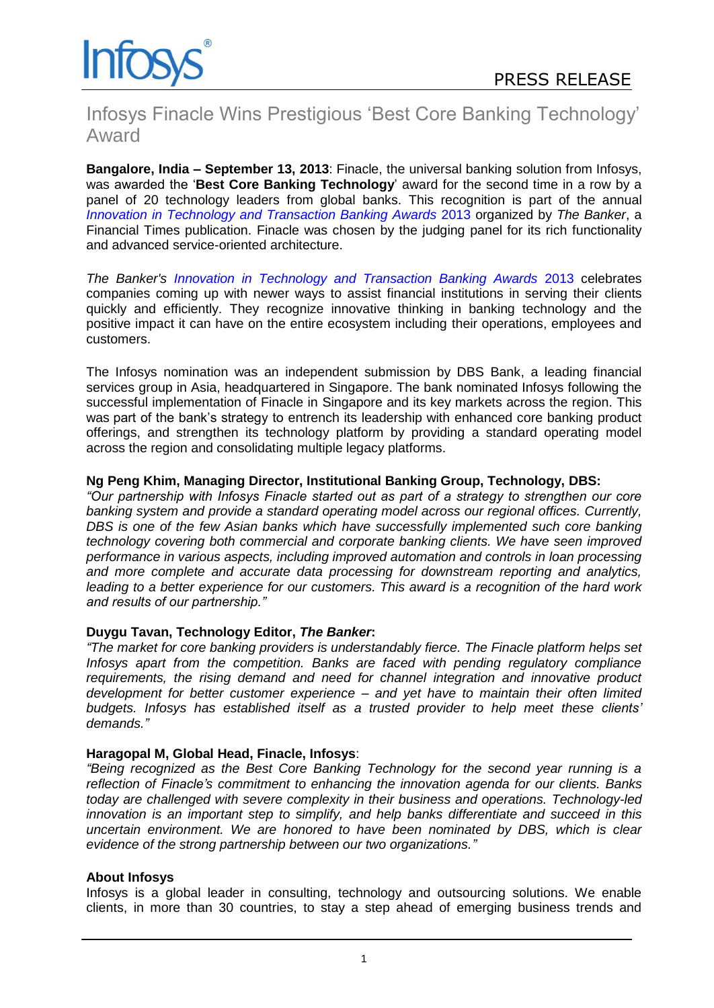

# Infosys Finacle Wins Prestigious 'Best Core Banking Technology' Award

**Bangalore, India – September 13, 2013**: Finacle, the universal banking solution from Infosys, was awarded the '**Best Core Banking Technology**' award for the second time in a row by a panel of 20 technology leaders from global banks. This recognition is part of the annual *[Innovation in Technology and Transaction Banking Awards](http://www.thebanker.com/Awards/Innovation-in-Technology-Awards/Innovation-in-Technology-and-Transaction-Banking-Awards-2013)* 2013 organized by *The Banker*, a Financial Times publication. Finacle was chosen by the judging panel for its rich functionality and advanced service-oriented architecture.

*The Banker's [Innovation in Technology and Transaction Banking Awards](http://www.thebanker.com/Awards/Innovation-in-Technology-Awards/Innovation-in-Technology-and-Transaction-Banking-Awards-2013)* 2013 celebrates companies coming up with newer ways to assist financial institutions in serving their clients quickly and efficiently. They recognize innovative thinking in banking technology and the positive impact it can have on the entire ecosystem including their operations, employees and customers.

The Infosys nomination was an independent submission by DBS Bank, a leading financial services group in Asia, headquartered in Singapore. The bank nominated Infosys following the successful implementation of Finacle in Singapore and its key markets across the region. This was part of the bank's strategy to entrench its leadership with enhanced core banking product offerings, and strengthen its technology platform by providing a standard operating model across the region and consolidating multiple legacy platforms.

# **Ng Peng Khim, Managing Director, Institutional Banking Group, Technology, DBS:**

*"Our partnership with Infosys Finacle started out as part of a strategy to strengthen our core banking system and provide a standard operating model across our regional offices. Currently, DBS is one of the few Asian banks which have successfully implemented such core banking technology covering both commercial and corporate banking clients. We have seen improved performance in various aspects, including improved automation and controls in loan processing and more complete and accurate data processing for downstream reporting and analytics, leading to a better experience for our customers. This award is a recognition of the hard work and results of our partnership."*

# **Duygu Tavan, Technology Editor,** *The Banker***:**

*"The market for core banking providers is understandably fierce. The Finacle platform helps set Infosys apart from the competition. Banks are faced with pending regulatory compliance requirements, the rising demand and need for channel integration and innovative product development for better customer experience – and yet have to maintain their often limited budgets. Infosys has established itself as a trusted provider to help meet these clients' demands."*

### **Haragopal M, Global Head, Finacle, Infosys**:

*"Being recognized as the Best Core Banking Technology for the second year running is a reflection of Finacle's commitment to enhancing the innovation agenda for our clients. Banks today are challenged with severe complexity in their business and operations. Technology-led innovation is an important step to simplify, and help banks differentiate and succeed in this uncertain environment. We are honored to have been nominated by DBS, which is clear evidence of the strong partnership between our two organizations."*

### **About Infosys**

Infosys is a global leader in consulting, technology and outsourcing solutions. We enable clients, in more than 30 countries, to stay a step ahead of emerging business trends and